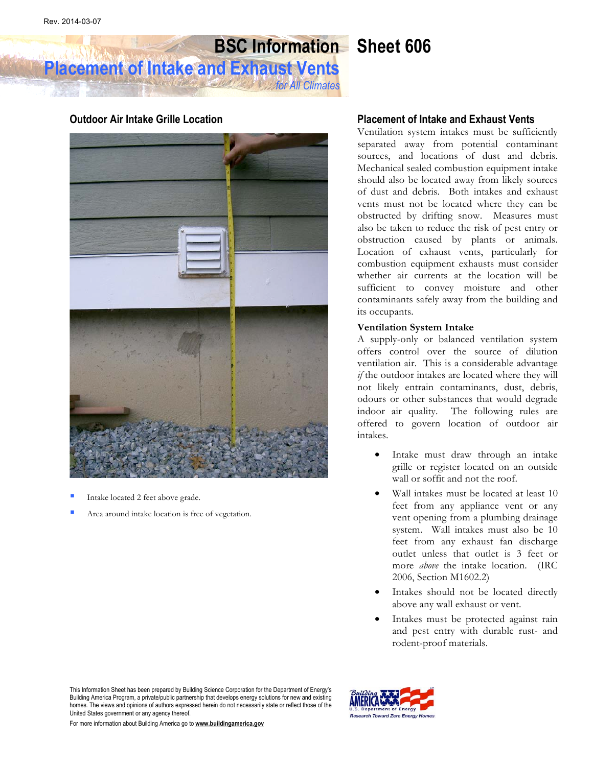# **BSC Information Sheet 606**

**Placement of Intake and Exhaust Vents** *for All Climates*

### **Outdoor Air Intake Grille Location**



- Intake located 2 feet above grade.
- Area around intake location is free of vegetation.

#### **Placement of Intake and Exhaust Vents**

Ventilation system intakes must be sufficiently separated away from potential contaminant sources, and locations of dust and debris. Mechanical sealed combustion equipment intake should also be located away from likely sources of dust and debris. Both intakes and exhaust vents must not be located where they can be obstructed by drifting snow. Measures must also be taken to reduce the risk of pest entry or obstruction caused by plants or animals. Location of exhaust vents, particularly for combustion equipment exhausts must consider whether air currents at the location will be sufficient to convey moisture and other contaminants safely away from the building and its occupants.

#### **Ventilation System Intake**

A supply-only or balanced ventilation system offers control over the source of dilution ventilation air. This is a considerable advantage *if* the outdoor intakes are located where they will not likely entrain contaminants, dust, debris, odours or other substances that would degrade indoor air quality. The following rules are offered to govern location of outdoor air intakes.

- Intake must draw through an intake grille or register located on an outside wall or soffit and not the roof.
- Wall intakes must be located at least 10 feet from any appliance vent or any vent opening from a plumbing drainage system. Wall intakes must also be 10 feet from any exhaust fan discharge outlet unless that outlet is 3 feet or more *above* the intake location. (IRC 2006, Section M1602.2)
- Intakes should not be located directly above any wall exhaust or vent.
- Intakes must be protected against rain and pest entry with durable rust- and rodent-proof materials.

This Information Sheet has been prepared by Building Science Corporation for the Department of Energy's Building America Program, a private/public partnership that develops energy solutions for new and existing homes. The views and opinions of authors expressed herein do not necessarily state or reflect those of the United States government or any agency thereof.



For more information about Building America go to **www.buildingamerica.gov**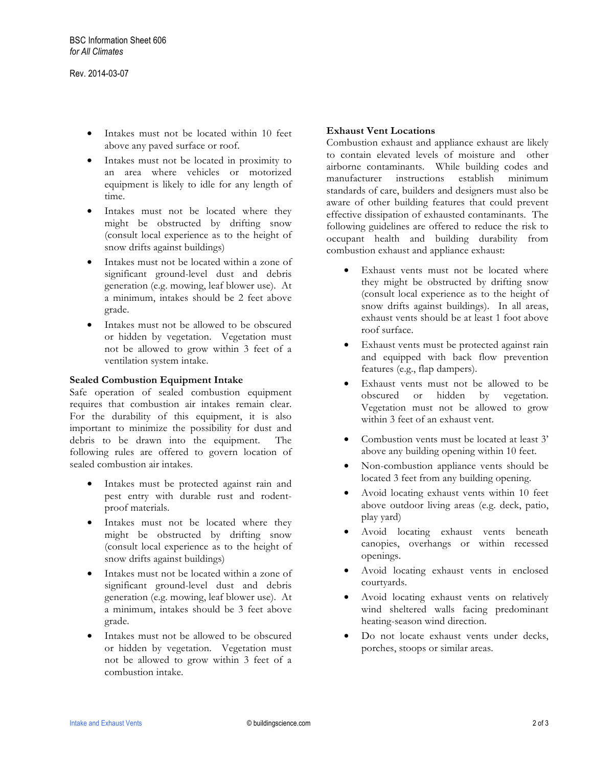- Intakes must not be located within 10 feet above any paved surface or roof.
- Intakes must not be located in proximity to an area where vehicles or motorized equipment is likely to idle for any length of time.
- Intakes must not be located where they might be obstructed by drifting snow (consult local experience as to the height of snow drifts against buildings)
- Intakes must not be located within a zone of significant ground-level dust and debris generation (e.g. mowing, leaf blower use). At a minimum, intakes should be 2 feet above grade.
- Intakes must not be allowed to be obscured or hidden by vegetation. Vegetation must not be allowed to grow within 3 feet of a ventilation system intake.

#### **Sealed Combustion Equipment Intake**

Safe operation of sealed combustion equipment requires that combustion air intakes remain clear. For the durability of this equipment, it is also important to minimize the possibility for dust and debris to be drawn into the equipment. The following rules are offered to govern location of sealed combustion air intakes.

- Intakes must be protected against rain and pest entry with durable rust and rodentproof materials.
- Intakes must not be located where they might be obstructed by drifting snow (consult local experience as to the height of snow drifts against buildings)
- Intakes must not be located within a zone of significant ground-level dust and debris generation (e.g. mowing, leaf blower use). At a minimum, intakes should be 3 feet above grade.
- Intakes must not be allowed to be obscured or hidden by vegetation. Vegetation must not be allowed to grow within 3 feet of a combustion intake.

#### **Exhaust Vent Locations**

Combustion exhaust and appliance exhaust are likely to contain elevated levels of moisture and other airborne contaminants. While building codes and manufacturer instructions establish minimum standards of care, builders and designers must also be aware of other building features that could prevent effective dissipation of exhausted contaminants. The following guidelines are offered to reduce the risk to occupant health and building durability from combustion exhaust and appliance exhaust:

- Exhaust vents must not be located where they might be obstructed by drifting snow (consult local experience as to the height of snow drifts against buildings). In all areas, exhaust vents should be at least 1 foot above roof surface.
- Exhaust vents must be protected against rain and equipped with back flow prevention features (e.g., flap dampers).
- Exhaust vents must not be allowed to be obscured or hidden by vegetation. Vegetation must not be allowed to grow within 3 feet of an exhaust vent.
- Combustion vents must be located at least 3' above any building opening within 10 feet.
- Non-combustion appliance vents should be located 3 feet from any building opening.
- Avoid locating exhaust vents within 10 feet above outdoor living areas (e.g. deck, patio, play yard)
- Avoid locating exhaust vents beneath canopies, overhangs or within recessed openings.
- Avoid locating exhaust vents in enclosed courtyards.
- Avoid locating exhaust vents on relatively wind sheltered walls facing predominant heating-season wind direction.
- Do not locate exhaust vents under decks, porches, stoops or similar areas.